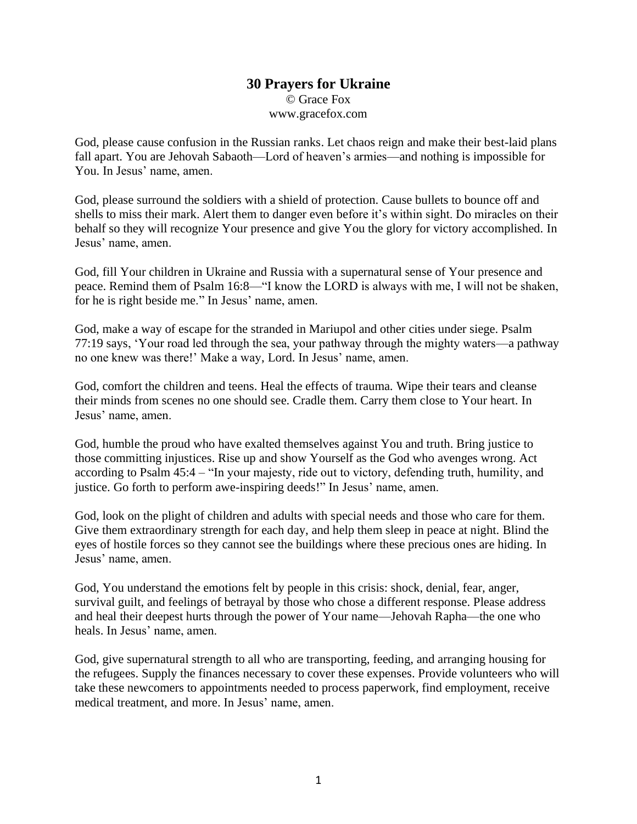## **30 Prayers for Ukraine** © Grace Fox www.gracefox.com

God, please cause confusion in the Russian ranks. Let chaos reign and make their best-laid plans fall apart. You are Jehovah Sabaoth—Lord of heaven's armies—and nothing is impossible for You. In Jesus' name, amen.

God, please surround the soldiers with a shield of protection. Cause bullets to bounce off and shells to miss their mark. Alert them to danger even before it's within sight. Do miracles on their behalf so they will recognize Your presence and give You the glory for victory accomplished. In Jesus' name, amen.

God, fill Your children in Ukraine and Russia with a supernatural sense of Your presence and peace. Remind them of Psalm 16:8—"I know the LORD is always with me, I will not be shaken, for he is right beside me." In Jesus' name, amen.

God, make a way of escape for the stranded in Mariupol and other cities under siege. Psalm 77:19 says, 'Your road led through the sea, your pathway through the mighty waters—a pathway no one knew was there!' Make a way, Lord. In Jesus' name, amen.

God, comfort the children and teens. Heal the effects of trauma. Wipe their tears and cleanse their minds from scenes no one should see. Cradle them. Carry them close to Your heart. In Jesus' name, amen.

God, humble the proud who have exalted themselves against You and truth. Bring justice to those committing injustices. Rise up and show Yourself as the God who avenges wrong. Act according to Psalm 45:4 – "In your majesty, ride out to victory, defending truth, humility, and justice. Go forth to perform awe-inspiring deeds!" In Jesus' name, amen.

God, look on the plight of children and adults with special needs and those who care for them. Give them extraordinary strength for each day, and help them sleep in peace at night. Blind the eyes of hostile forces so they cannot see the buildings where these precious ones are hiding. In Jesus' name, amen.

God, You understand the emotions felt by people in this crisis: shock, denial, fear, anger, survival guilt, and feelings of betrayal by those who chose a different response. Please address and heal their deepest hurts through the power of Your name—Jehovah Rapha—the one who heals. In Jesus' name, amen.

God, give supernatural strength to all who are transporting, feeding, and arranging housing for the refugees. Supply the finances necessary to cover these expenses. Provide volunteers who will take these newcomers to appointments needed to process paperwork, find employment, receive medical treatment, and more. In Jesus' name, amen.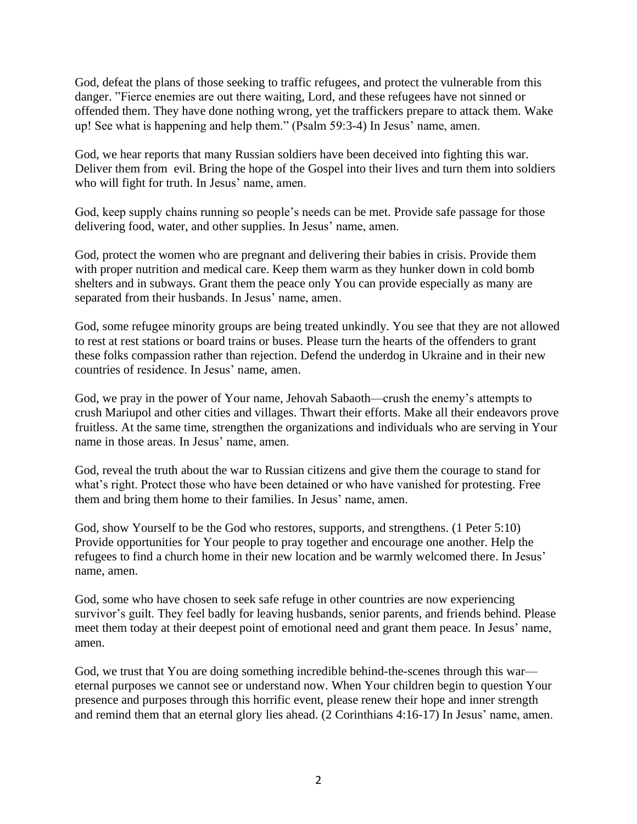God, defeat the plans of those seeking to traffic refugees, and protect the vulnerable from this danger. "Fierce enemies are out there waiting, Lord, and these refugees have not sinned or offended them. They have done nothing wrong, yet the traffickers prepare to attack them. Wake up! See what is happening and help them." (Psalm 59:3-4) In Jesus' name, amen.

God, we hear reports that many Russian soldiers have been deceived into fighting this war. Deliver them from evil. Bring the hope of the Gospel into their lives and turn them into soldiers who will fight for truth. In Jesus' name, amen.

God, keep supply chains running so people's needs can be met. Provide safe passage for those delivering food, water, and other supplies. In Jesus' name, amen.

God, protect the women who are pregnant and delivering their babies in crisis. Provide them with proper nutrition and medical care. Keep them warm as they hunker down in cold bomb shelters and in subways. Grant them the peace only You can provide especially as many are separated from their husbands. In Jesus' name, amen.

God, some refugee minority groups are being treated unkindly. You see that they are not allowed to rest at rest stations or board trains or buses. Please turn the hearts of the offenders to grant these folks compassion rather than rejection. Defend the underdog in Ukraine and in their new countries of residence. In Jesus' name, amen.

God, we pray in the power of Your name, Jehovah Sabaoth—crush the enemy's attempts to crush Mariupol and other cities and villages. Thwart their efforts. Make all their endeavors prove fruitless. At the same time, strengthen the organizations and individuals who are serving in Your name in those areas. In Jesus' name, amen.

God, reveal the truth about the war to Russian citizens and give them the courage to stand for what's right. Protect those who have been detained or who have vanished for protesting. Free them and bring them home to their families. In Jesus' name, amen.

God, show Yourself to be the God who restores, supports, and strengthens. (1 Peter 5:10) Provide opportunities for Your people to pray together and encourage one another. Help the refugees to find a church home in their new location and be warmly welcomed there. In Jesus' name, amen.

God, some who have chosen to seek safe refuge in other countries are now experiencing survivor's guilt. They feel badly for leaving husbands, senior parents, and friends behind. Please meet them today at their deepest point of emotional need and grant them peace. In Jesus' name, amen.

God, we trust that You are doing something incredible behind-the-scenes through this war eternal purposes we cannot see or understand now. When Your children begin to question Your presence and purposes through this horrific event, please renew their hope and inner strength and remind them that an eternal glory lies ahead. (2 Corinthians 4:16-17) In Jesus' name, amen.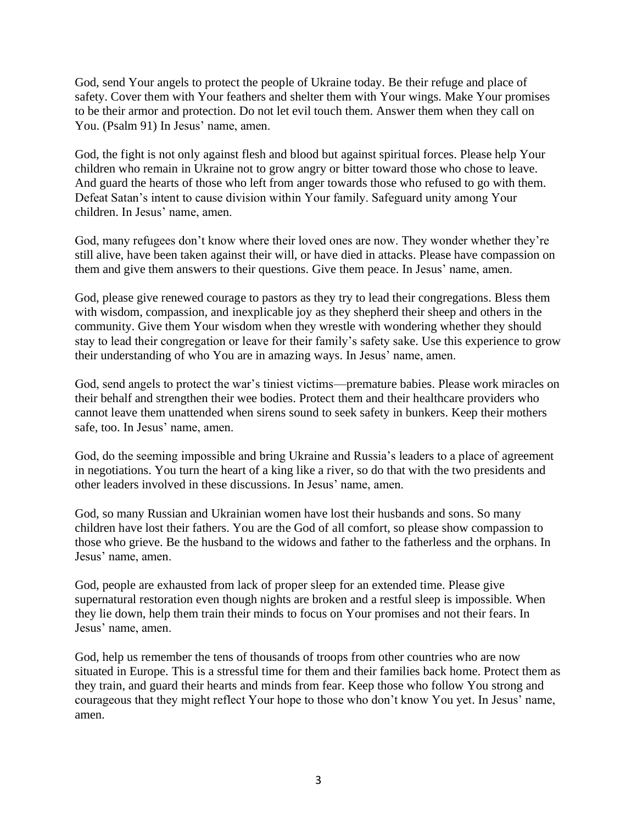God, send Your angels to protect the people of Ukraine today. Be their refuge and place of safety. Cover them with Your feathers and shelter them with Your wings. Make Your promises to be their armor and protection. Do not let evil touch them. Answer them when they call on You. (Psalm 91) In Jesus' name, amen.

God, the fight is not only against flesh and blood but against spiritual forces. Please help Your children who remain in Ukraine not to grow angry or bitter toward those who chose to leave. And guard the hearts of those who left from anger towards those who refused to go with them. Defeat Satan's intent to cause division within Your family. Safeguard unity among Your children. In Jesus' name, amen.

God, many refugees don't know where their loved ones are now. They wonder whether they're still alive, have been taken against their will, or have died in attacks. Please have compassion on them and give them answers to their questions. Give them peace. In Jesus' name, amen.

God, please give renewed courage to pastors as they try to lead their congregations. Bless them with wisdom, compassion, and inexplicable joy as they shepherd their sheep and others in the community. Give them Your wisdom when they wrestle with wondering whether they should stay to lead their congregation or leave for their family's safety sake. Use this experience to grow their understanding of who You are in amazing ways. In Jesus' name, amen.

God, send angels to protect the war's tiniest victims—premature babies. Please work miracles on their behalf and strengthen their wee bodies. Protect them and their healthcare providers who cannot leave them unattended when sirens sound to seek safety in bunkers. Keep their mothers safe, too. In Jesus' name, amen.

God, do the seeming impossible and bring Ukraine and Russia's leaders to a place of agreement in negotiations. You turn the heart of a king like a river, so do that with the two presidents and other leaders involved in these discussions. In Jesus' name, amen.

God, so many Russian and Ukrainian women have lost their husbands and sons. So many children have lost their fathers. You are the God of all comfort, so please show compassion to those who grieve. Be the husband to the widows and father to the fatherless and the orphans. In Jesus' name, amen.

God, people are exhausted from lack of proper sleep for an extended time. Please give supernatural restoration even though nights are broken and a restful sleep is impossible. When they lie down, help them train their minds to focus on Your promises and not their fears. In Jesus' name, amen.

God, help us remember the tens of thousands of troops from other countries who are now situated in Europe. This is a stressful time for them and their families back home. Protect them as they train, and guard their hearts and minds from fear. Keep those who follow You strong and courageous that they might reflect Your hope to those who don't know You yet. In Jesus' name, amen.